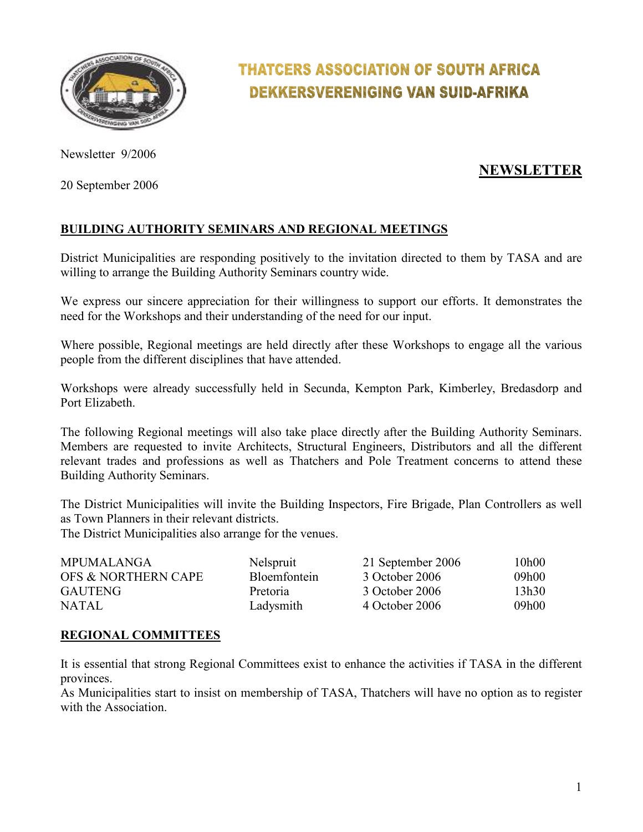

# THATCERS ASSOCIATION OF SOUTH AFRICA **DEKKERSVERENIGING VAN SUID-AFRIKA**

Newsletter 9/2006

20 September 2006

# **NEWSLETTER**

# **BUILDING AUTHORITY SEMINARS AND REGIONAL MEETINGS**

District Municipalities are responding positively to the invitation directed to them by TASA and are willing to arrange the Building Authority Seminars country wide.

We express our sincere appreciation for their willingness to support our efforts. It demonstrates the need for the Workshops and their understanding of the need for our input.

Where possible, Regional meetings are held directly after these Workshops to engage all the various people from the different disciplines that have attended.

Workshops were already successfully held in Secunda, Kempton Park, Kimberley, Bredasdorp and Port Elizabeth.

The following Regional meetings will also take place directly after the Building Authority Seminars. Members are requested to invite Architects, Structural Engineers, Distributors and all the different relevant trades and professions as well as Thatchers and Pole Treatment concerns to attend these Building Authority Seminars.

The District Municipalities will invite the Building Inspectors, Fire Brigade, Plan Controllers as well as Town Planners in their relevant districts.

The District Municipalities also arrange for the venues.

| <b>MPUMALANGA</b>              | Nelspruit    | 21 September 2006 | 10h00  |
|--------------------------------|--------------|-------------------|--------|
| <b>OFS &amp; NORTHERN CAPE</b> | Bloemfontein | 3 October 2006    | 09h00  |
| <b>GAUTENG</b>                 | Pretoria     | 3 October 2006    | 13h30. |
| NATAL                          | Ladysmith    | 4 October 2006    | 09h00  |

#### **REGIONAL COMMITTEES**

It is essential that strong Regional Committees exist to enhance the activities if TASA in the different provinces.

As Municipalities start to insist on membership of TASA, Thatchers will have no option as to register with the Association.